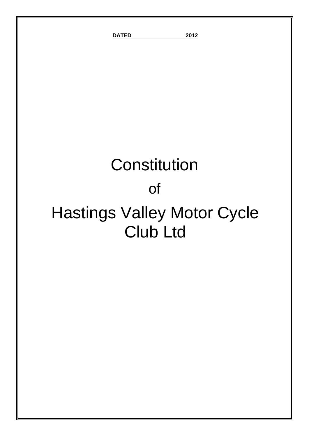**DATED 2012**

# **Constitution**

## of

## Hastings Valley Motor Cycle Club Ltd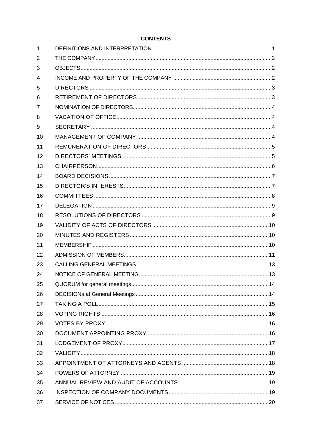| $\mathbf{1}$   |  |
|----------------|--|
| $\overline{2}$ |  |
| 3              |  |
| $\overline{4}$ |  |
| 5              |  |
| 6              |  |
| 7              |  |
| 8              |  |
| 9              |  |
| 10             |  |
| 11             |  |
| 12             |  |
| 13             |  |
| 14             |  |
| 15             |  |
| 16             |  |
| 17             |  |
| 18             |  |
| 19             |  |
| 20             |  |
| 21             |  |
| 22             |  |
| 23             |  |
| 24             |  |
| 25             |  |
| 26             |  |
| 27             |  |
| 28             |  |
| 29             |  |
| 30             |  |
| 31             |  |
| 32             |  |
| 33             |  |
| 34             |  |
| 35             |  |
| 36             |  |
| 37             |  |

### **CONTENTS**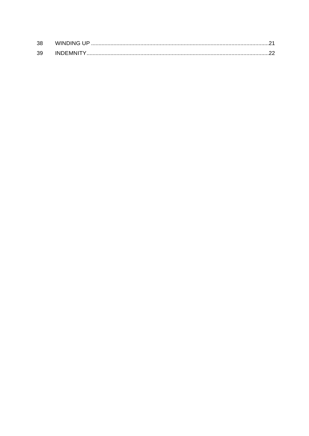| 38 | WINDING UP      |  |
|----|-----------------|--|
| 39 | <b>INDEMNIT</b> |  |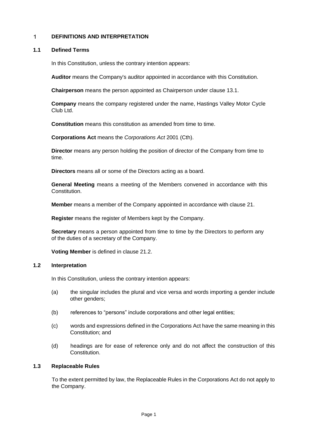#### <span id="page-3-0"></span> $\mathbf 1$ **DEFINITIONS AND INTERPRETATION**

#### **1.1 Defined Terms**

In this Constitution, unless the contrary intention appears:

**Auditor** means the Company's auditor appointed in accordance with this Constitution.

**Chairperson** means the person appointed as Chairperson under clause 13.1.

**Company** means the company registered under the name, Hastings Valley Motor Cycle Club Ltd.

**Constitution** means this constitution as amended from time to time.

**Corporations Act** means the *Corporations Act* 2001 (Cth).

**Director** means any person holding the position of director of the Company from time to time.

**Directors** means all or some of the Directors acting as a board.

**General Meeting** means a meeting of the Members convened in accordance with this Constitution.

**Member** means a member of the Company appointed in accordance with clause 21.

**Register** means the register of Members kept by the Company.

**Secretary** means a person appointed from time to time by the Directors to perform any of the duties of a secretary of the Company.

**Voting Member** is defined in clause 21.2.

### **1.2 Interpretation**

In this Constitution, unless the contrary intention appears:

- (a) the singular includes the plural and vice versa and words importing a gender include other genders;
- (b) references to "persons" include corporations and other legal entities;
- (c) words and expressions defined in the Corporations Act have the same meaning in this Constitution; and
- (d) headings are for ease of reference only and do not affect the construction of this Constitution.

#### **1.3 Replaceable Rules**

To the extent permitted by law, the Replaceable Rules in the Corporations Act do not apply to the Company.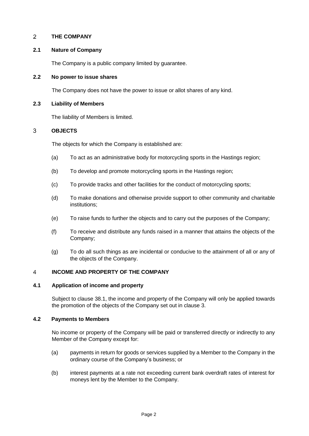#### <span id="page-4-0"></span> $\overline{2}$ **THE COMPANY**

### **2.1 Nature of Company**

The Company is a public company limited by guarantee.

#### **2.2 No power to issue shares**

The Company does not have the power to issue or allot shares of any kind.

#### **2.3 Liability of Members**

The liability of Members is limited.

#### <span id="page-4-1"></span>3 **OBJECTS**

The objects for which the Company is established are:

- (a) To act as an administrative body for motorcycling sports in the Hastings region;
- (b) To develop and promote motorcycling sports in the Hastings region;
- (c) To provide tracks and other facilities for the conduct of motorcycling sports;
- (d) To make donations and otherwise provide support to other community and charitable institutions;
- (e) To raise funds to further the objects and to carry out the purposes of the Company;
- (f) To receive and distribute any funds raised in a manner that attains the objects of the Company;
- (g) To do all such things as are incidental or conducive to the attainment of all or any of the objects of the Company.

#### <span id="page-4-2"></span>4 **INCOME AND PROPERTY OF THE COMPANY**

#### **4.1 Application of income and property**

Subject to clause 38.1, the income and property of the Company will only be applied towards the promotion of the objects of the Company set out in clause 3.

#### **4.2 Payments to Members**

No income or property of the Company will be paid or transferred directly or indirectly to any Member of the Company except for:

- (a) payments in return for goods or services supplied by a Member to the Company in the ordinary course of the Company's business; or
- (b) interest payments at a rate not exceeding current bank overdraft rates of interest for moneys lent by the Member to the Company.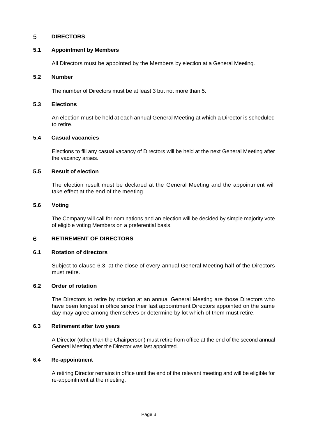#### <span id="page-5-0"></span>5 **DIRECTORS**

### **5.1 Appointment by Members**

All Directors must be appointed by the Members by election at a General Meeting.

#### **5.2 Number**

The number of Directors must be at least 3 but not more than 5.

#### **5.3 Elections**

An election must be held at each annual General Meeting at which a Director is scheduled to retire.

### **5.4 Casual vacancies**

Elections to fill any casual vacancy of Directors will be held at the next General Meeting after the vacancy arises.

#### **5.5 Result of election**

The election result must be declared at the General Meeting and the appointment will take effect at the end of the meeting.

### **5.6 Voting**

The Company will call for nominations and an election will be decided by simple majority vote of eligible voting Members on a preferential basis.

#### <span id="page-5-1"></span>6 **RETIREMENT OF DIRECTORS**

#### **6.1 Rotation of directors**

Subject to clause 6.3, at the close of every annual General Meeting half of the Directors must retire.

#### **6.2 Order of rotation**

The Directors to retire by rotation at an annual General Meeting are those Directors who have been longest in office since their last appointment Directors appointed on the same day may agree among themselves or determine by lot which of them must retire.

#### **6.3 Retirement after two years**

A Director (other than the Chairperson) must retire from office at the end of the second annual General Meeting after the Director was last appointed.

### **6.4 Re-appointment**

A retiring Director remains in office until the end of the relevant meeting and will be eligible for re-appointment at the meeting.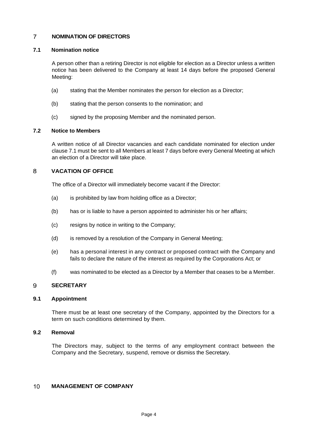#### <span id="page-6-0"></span> $\overline{7}$ **NOMINATION OF DIRECTORS**

### **7.1 Nomination notice**

A person other than a retiring Director is not eligible for election as a Director unless a written notice has been delivered to the Company at least 14 days before the proposed General Meeting:

- (a) stating that the Member nominates the person for election as a Director;
- (b) stating that the person consents to the nomination; and
- (c) signed by the proposing Member and the nominated person.

### **7.2 Notice to Members**

A written notice of all Director vacancies and each candidate nominated for election under clause 7.1 must be sent to all Members at least 7 days before every General Meeting at which an election of a Director will take place.

#### <span id="page-6-1"></span>8 **VACATION OF OFFICE**

The office of a Director will immediately become vacant if the Director:

- (a) is prohibited by law from holding office as a Director;
- (b) has or is liable to have a person appointed to administer his or her affairs;
- (c) resigns by notice in writing to the Company;
- (d) is removed by a resolution of the Company in General Meeting;
- (e) has a personal interest in any contract or proposed contract with the Company and fails to declare the nature of the interest as required by the Corporations Act; or
- (f) was nominated to be elected as a Director by a Member that ceases to be a Member.

#### <span id="page-6-2"></span>**SECRETARY** 9

#### **9.1 Appointment**

There must be at least one secretary of the Company, appointed by the Directors for a term on such conditions determined by them.

#### **9.2 Removal**

The Directors may, subject to the terms of any employment contract between the Company and the Secretary, suspend, remove or dismiss the Secretary.

#### <span id="page-6-3"></span> $10<sup>°</sup>$ **MANAGEMENT OF COMPANY**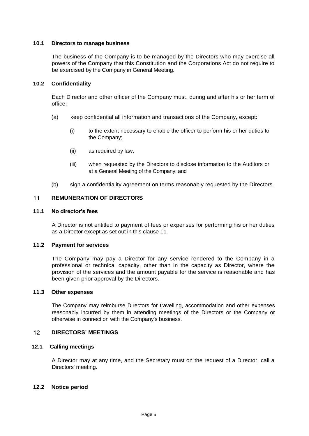### **10.1 Directors to manage business**

The business of the Company is to be managed by the Directors who may exercise all powers of the Company that this Constitution and the Corporations Act do not require to be exercised by the Company in General Meeting.

### **10.2 Confidentiality**

Each Director and other officer of the Company must, during and after his or her term of office:

- (a) keep confidential all information and transactions of the Company, except:
	- (i) to the extent necessary to enable the officer to perform his or her duties to the Company;
	- (ii) as required by law;
	- (iii) when requested by the Directors to disclose information to the Auditors or at a General Meeting of the Company; and
- (b) sign a confidentiality agreement on terms reasonably requested by the Directors.

#### <span id="page-7-0"></span> $11$ **REMUNERATION OF DIRECTORS**

#### **11.1 No director's fees**

A Director is not entitled to payment of fees or expenses for performing his or her duties as a Director except as set out in this clause 11.

#### **11.2 Payment for services**

The Company may pay a Director for any service rendered to the Company in a professional or technical capacity, other than in the capacity as Director, where the provision of the services and the amount payable for the service is reasonable and has been given prior approval by the Directors.

#### **11.3 Other expenses**

The Company may reimburse Directors for travelling, accommodation and other expenses reasonably incurred by them in attending meetings of the Directors or the Company or otherwise in connection with the Company's business.

#### <span id="page-7-1"></span> $12<sup>2</sup>$ **DIRECTORS' MEETINGS**

### **12.1 Calling meetings**

A Director may at any time, and the Secretary must on the request of a Director, call a Directors' meeting.

#### **12.2 Notice period**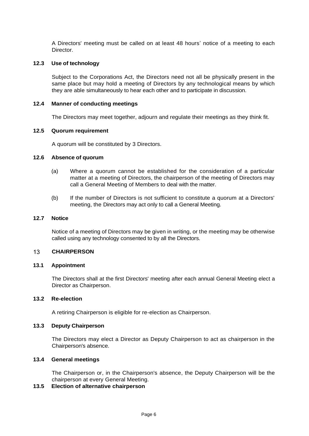A Directors' meeting must be called on at least 48 hours' notice of a meeting to each Director.

#### **12.3 Use of technology**

Subject to the Corporations Act, the Directors need not all be physically present in the same place but may hold a meeting of Directors by any technological means by which they are able simultaneously to hear each other and to participate in discussion.

### **12.4 Manner of conducting meetings**

The Directors may meet together, adjourn and regulate their meetings as they think fit.

### **12.5 Quorum requirement**

A quorum will be constituted by 3 Directors.

### **12.6 Absence of quorum**

- (a) Where a quorum cannot be established for the consideration of a particular matter at a meeting of Directors, the chairperson of the meeting of Directors may call a General Meeting of Members to deal with the matter.
- (b) If the number of Directors is not sufficient to constitute a quorum at a Directors' meeting, the Directors may act only to call a General Meeting.

#### **12.7 Notice**

Notice of a meeting of Directors may be given in writing, or the meeting may be otherwise called using any technology consented to by all the Directors.

#### <span id="page-8-0"></span> $13<sup>1</sup>$ **CHAIRPERSON**

#### **13.1 Appointment**

The Directors shall at the first Directors' meeting after each annual General Meeting elect a Director as Chairperson.

#### **13.2 Re-election**

A retiring Chairperson is eligible for re-election as Chairperson.

#### **13.3 Deputy Chairperson**

The Directors may elect a Director as Deputy Chairperson to act as chairperson in the Chairperson's absence.

### **13.4 General meetings**

The Chairperson or, in the Chairperson's absence, the Deputy Chairperson will be the chairperson at every General Meeting.

#### **13.5 Election of alternative chairperson**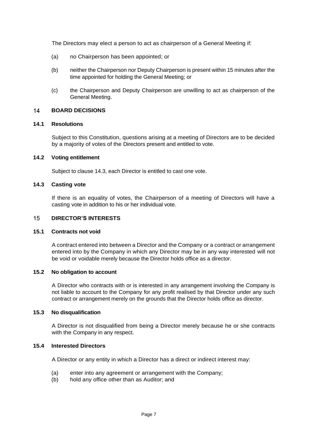The Directors may elect a person to act as chairperson of a General Meeting if:

- (a) no Chairperson has been appointed; or
- (b) neither the Chairperson nor Deputy Chairperson is present within 15 minutes after the time appointed for holding the General Meeting; or
- (c) the Chairperson and Deputy Chairperson are unwilling to act as chairperson of the General Meeting.

#### <span id="page-9-0"></span>**BOARD DECISIONS** 14

### **14.1 Resolutions**

Subject to this Constitution, questions arising at a meeting of Directors are to be decided by a majority of votes of the Directors present and entitled to vote.

### **14.2 Voting entitlement**

Subject to clause 14.3, each Director is entitled to cast one vote.

### **14.3 Casting vote**

If there is an equality of votes, the Chairperson of a meeting of Directors will have a casting vote in addition to his or her individual vote.

#### <span id="page-9-1"></span> $15<sub>1</sub>$ **DIRECTOR'S INTERESTS**

#### **15.1 Contracts not void**

A contract entered into between a Director and the Company or a contract or arrangement entered into by the Company in which any Director may be in any way interested will not be void or voidable merely because the Director holds office as a director.

#### **15.2 No obligation to account**

A Director who contracts with or is interested in any arrangement involving the Company is not liable to account to the Company for any profit realised by that Director under any such contract or arrangement merely on the grounds that the Director holds office as director.

#### **15.3 No disqualification**

A Director is not disqualified from being a Director merely because he or she contracts with the Company in any respect.

#### **15.4 Interested Directors**

A Director or any entity in which a Director has a direct or indirect interest may:

- (a) enter into any agreement or arrangement with the Company;
- (b) hold any office other than as Auditor; and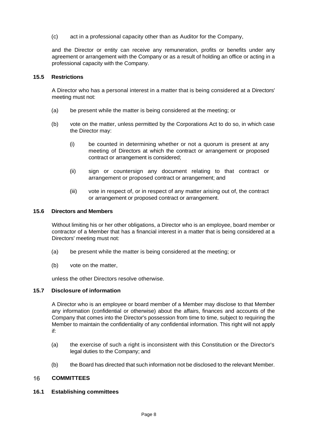(c) act in a professional capacity other than as Auditor for the Company,

and the Director or entity can receive any remuneration, profits or benefits under any agreement or arrangement with the Company or as a result of holding an office or acting in a professional capacity with the Company.

#### **15.5 Restrictions**

A Director who has a personal interest in a matter that is being considered at a Directors' meeting must not:

- (a) be present while the matter is being considered at the meeting; or
- (b) vote on the matter, unless permitted by the Corporations Act to do so, in which case the Director may:
	- (i) be counted in determining whether or not a quorum is present at any meeting of Directors at which the contract or arrangement or proposed contract or arrangement is considered;
	- (ii) sign or countersign any document relating to that contract or arrangement or proposed contract or arrangement; and
	- (iii) vote in respect of, or in respect of any matter arising out of, the contract or arrangement or proposed contract or arrangement.

#### **15.6 Directors and Members**

Without limiting his or her other obligations, a Director who is an employee, board member or contractor of a Member that has a financial interest in a matter that is being considered at a Directors' meeting must not:

- (a) be present while the matter is being considered at the meeting; or
- (b) vote on the matter,

unless the other Directors resolve otherwise.

#### **15.7 Disclosure of information**

A Director who is an employee or board member of a Member may disclose to that Member any information (confidential or otherwise) about the affairs, finances and accounts of the Company that comes into the Director's possession from time to time, subject to requiring the Member to maintain the confidentiality of any confidential information. This right will not apply if:

- (a) the exercise of such a right is inconsistent with this Constitution or the Director's legal duties to the Company; and
- <span id="page-10-0"></span>(b) the Board has directed that such information not be disclosed to the relevant Member.

#### 16 **COMMITTEES**

#### **16.1 Establishing committees**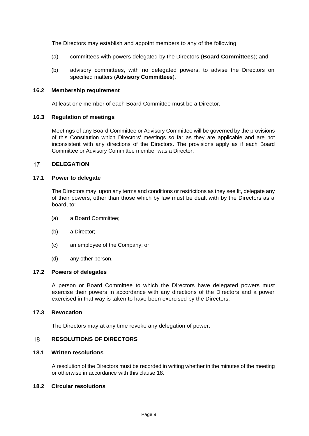The Directors may establish and appoint members to any of the following:

- (a) committees with powers delegated by the Directors (**Board Committees**); and
- (b) advisory committees, with no delegated powers, to advise the Directors on specified matters (**Advisory Committees**).

#### **16.2 Membership requirement**

At least one member of each Board Committee must be a Director.

### **16.3 Regulation of meetings**

Meetings of any Board Committee or Advisory Committee will be governed by the provisions of this Constitution which Directors' meetings so far as they are applicable and are not inconsistent with any directions of the Directors. The provisions apply as if each Board Committee or Advisory Committee member was a Director.

#### <span id="page-11-0"></span> $17$ **DELEGATION**

### **17.1 Power to delegate**

The Directors may, upon any terms and conditions or restrictions as they see fit, delegate any of their powers, other than those which by law must be dealt with by the Directors as a board, to:

- (a) a Board Committee;
- (b) a Director;
- (c) an employee of the Company; or
- (d) any other person.

#### **17.2 Powers of delegates**

A person or Board Committee to which the Directors have delegated powers must exercise their powers in accordance with any directions of the Directors and a power exercised in that way is taken to have been exercised by the Directors.

#### **17.3 Revocation**

The Directors may at any time revoke any delegation of power.

#### <span id="page-11-1"></span>18 **RESOLUTIONS OF DIRECTORS**

#### **18.1 Written resolutions**

A resolution of the Directors must be recorded in writing whether in the minutes of the meeting or otherwise in accordance with this clause 18.

#### **18.2 Circular resolutions**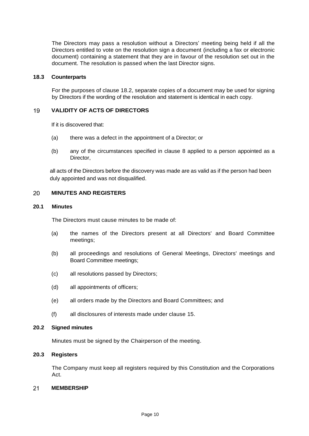The Directors may pass a resolution without a Directors' meeting being held if all the Directors entitled to vote on the resolution sign a document (including a fax or electronic document) containing a statement that they are in favour of the resolution set out in the document. The resolution is passed when the last Director signs.

#### **18.3 Counterparts**

For the purposes of clause 18.2, separate copies of a document may be used for signing by Directors if the wording of the resolution and statement is identical in each copy.

#### <span id="page-12-0"></span>**VALIDITY OF ACTS OF DIRECTORS** 19

If it is discovered that:

- (a) there was a defect in the appointment of a Director; or
- (b) any of the circumstances specified in clause 8 applied to a person appointed as a Director,

all acts of the Directors before the discovery was made are as valid as if the person had been duly appointed and was not disqualified.

#### <span id="page-12-1"></span>20 **MINUTES AND REGISTERS**

#### **20.1 Minutes**

The Directors must cause minutes to be made of:

- (a) the names of the Directors present at all Directors' and Board Committee meetings;
- (b) all proceedings and resolutions of General Meetings, Directors' meetings and Board Committee meetings;
- (c) all resolutions passed by Directors;
- (d) all appointments of officers;
- (e) all orders made by the Directors and Board Committees; and
- (f) all disclosures of interests made under clause 15.

#### **20.2 Signed minutes**

Minutes must be signed by the Chairperson of the meeting.

#### **20.3 Registers**

The Company must keep all registers required by this Constitution and the Corporations Act.

#### <span id="page-12-2"></span> $21$ **MEMBERSHIP**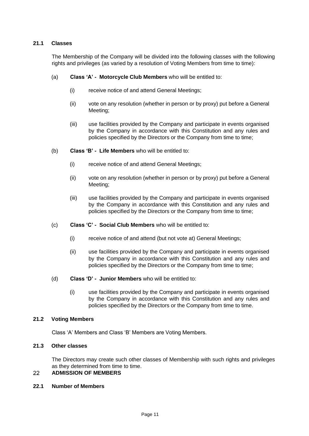### **21.1 Classes**

The Membership of the Company will be divided into the following classes with the following rights and privileges (as varied by a resolution of Voting Members from time to time):

- (a) **Class 'A' Motorcycle Club Members** who will be entitled to:
	- (i) receive notice of and attend General Meetings;
	- (ii) vote on any resolution (whether in person or by proxy) put before a General Meeting;
	- (iii) use facilities provided by the Company and participate in events organised by the Company in accordance with this Constitution and any rules and policies specified by the Directors or the Company from time to time;
- (b) **Class 'B' Life Members** who will be entitled to:
	- (i) receive notice of and attend General Meetings;
	- (ii) vote on any resolution (whether in person or by proxy) put before a General Meeting;
	- (iii) use facilities provided by the Company and participate in events organised by the Company in accordance with this Constitution and any rules and policies specified by the Directors or the Company from time to time;
- (c) **Class 'C' Social Club Members** who will be entitled to:
	- (i) receive notice of and attend (but not vote at) General Meetings;
	- (ii) use facilities provided by the Company and participate in events organised by the Company in accordance with this Constitution and any rules and policies specified by the Directors or the Company from time to time;
- (d) **Class 'D' Junior Members** who will be entitled to:
	- (i) use facilities provided by the Company and participate in events organised by the Company in accordance with this Constitution and any rules and policies specified by the Directors or the Company from time to time.

#### **21.2 Voting Members**

Class 'A' Members and Class 'B' Members are Voting Members.

### **21.3 Other classes**

<span id="page-13-0"></span>The Directors may create such other classes of Membership with such rights and privileges as they determined from time to time.

#### **ADMISSION OF MEMBERS** 22

#### **22.1 Number of Members**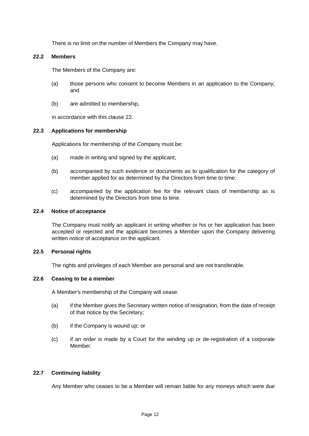There is no limit on the number of Members the Company may have.

### **22.2 Members**

The Members of the Company are:

- (a) those persons who consent to become Members in an application to the Company; and
- (b) are admitted to membership,

in accordance with this clause 22.

### **22.3 Applications for membership**

Applications for membership of the Company must be:

- (a) made in writing and signed by the applicant;
- (b) accompanied by such evidence or documents as to qualification for the category of member applied for as determined by the Directors from time to time;
- (c) accompanied by the application fee for the relevant class of membership as is determined by the Directors from time to time.

### **22.4 Notice of acceptance**

The Company must notify an applicant in writing whether or his or her application has been accepted or rejected and the applicant becomes a Member upon the Company delivering written notice of acceptance on the applicant.

#### **22.5 Personal rights**

The rights and privileges of each Member are personal and are not transferable.

#### **22.6 Ceasing to be a member**

A Member's membership of the Company will cease:

- (a) if the Member gives the Secretary written notice of resignation, from the date of receipt of that notice by the Secretary;
- (b) if the Company is wound up; or
- (c) if an order is made by a Court for the winding up or de-registration of a corporate Member.

### **22.7 Continuing liability**

Any Member who ceases to be a Member will remain liable for any moneys which were due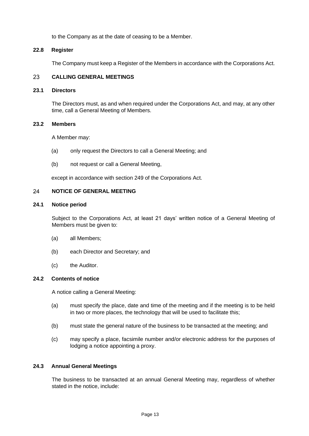to the Company as at the date of ceasing to be a Member.

### **22.8 Register**

<span id="page-15-0"></span>The Company must keep a Register of the Members in accordance with the Corporations Act.

#### 23 **CALLING GENERAL MEETINGS**

### **23.1 Directors**

The Directors must, as and when required under the Corporations Act, and may, at any other time, call a General Meeting of Members.

#### **23.2 Members**

A Member may:

- (a) only request the Directors to call a General Meeting; and
- (b) not request or call a General Meeting,

<span id="page-15-1"></span>except in accordance with section 249 of the Corporations Act.

#### 24 **NOTICE OF GENERAL MEETING**

#### **24.1 Notice period**

Subject to the Corporations Act, at least 21 days' written notice of a General Meeting of Members must be given to:

- (a) all Members;
- (b) each Director and Secretary; and
- (c) the Auditor.

### **24.2 Contents of notice**

A notice calling a General Meeting:

- (a) must specify the place, date and time of the meeting and if the meeting is to be held in two or more places, the technology that will be used to facilitate this;
- (b) must state the general nature of the business to be transacted at the meeting; and
- (c) may specify a place, facsimile number and/or electronic address for the purposes of lodging a notice appointing a proxy.

#### **24.3 Annual General Meetings**

The business to be transacted at an annual General Meeting may, regardless of whether stated in the notice, include: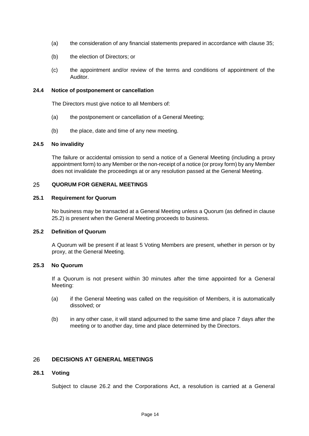- (a) the consideration of any financial statements prepared in accordance with clause 35;
- (b) the election of Directors; or
- (c) the appointment and/or review of the terms and conditions of appointment of the Auditor.

#### **24.4 Notice of postponement or cancellation**

The Directors must give notice to all Members of:

- (a) the postponement or cancellation of a General Meeting;
- (b) the place, date and time of any new meeting.

#### **24.5 No invalidity**

The failure or accidental omission to send a notice of a General Meeting (including a proxy appointment form) to any Member or the non-receipt of a notice (or proxy form) by any Member does not invalidate the proceedings at or any resolution passed at the General Meeting.

#### <span id="page-16-0"></span>25 **QUORUM FOR GENERAL MEETINGS**

#### **25.1 Requirement for Quorum**

No business may be transacted at a General Meeting unless a Quorum (as defined in clause 25.2) is present when the General Meeting proceeds to business.

### **25.2 Definition of Quorum**

A Quorum will be present if at least 5 Voting Members are present, whether in person or by proxy, at the General Meeting.

#### **25.3 No Quorum**

If a Quorum is not present within 30 minutes after the time appointed for a General Meeting:

- (a) if the General Meeting was called on the requisition of Members, it is automatically dissolved; or
- (b) in any other case, it will stand adjourned to the same time and place 7 days after the meeting or to another day, time and place determined by the Directors.

#### <span id="page-16-1"></span>26 **DECISIONS AT GENERAL MEETINGS**

#### **26.1 Voting**

Subject to clause 26.2 and the Corporations Act, a resolution is carried at a General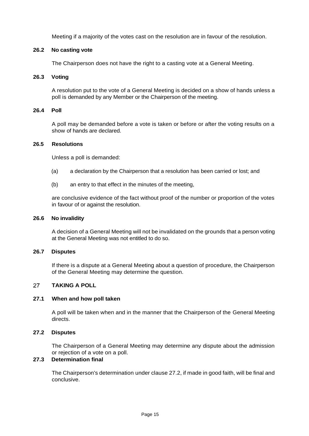Meeting if a majority of the votes cast on the resolution are in favour of the resolution.

### **26.2 No casting vote**

The Chairperson does not have the right to a casting vote at a General Meeting.

#### **26.3 Voting**

A resolution put to the vote of a General Meeting is decided on a show of hands unless a poll is demanded by any Member or the Chairperson of the meeting.

#### **26.4 Poll**

A poll may be demanded before a vote is taken or before or after the voting results on a show of hands are declared.

### **26.5 Resolutions**

Unless a poll is demanded:

- (a) a declaration by the Chairperson that a resolution has been carried or lost; and
- (b) an entry to that effect in the minutes of the meeting,

are conclusive evidence of the fact without proof of the number or proportion of the votes in favour of or against the resolution.

#### **26.6 No invalidity**

A decision of a General Meeting will not be invalidated on the grounds that a person voting at the General Meeting was not entitled to do so.

#### **26.7 Disputes**

If there is a dispute at a General Meeting about a question of procedure, the Chairperson of the General Meeting may determine the question.

#### <span id="page-17-0"></span>27 **TAKING A POLL**

#### **27.1 When and how poll taken**

A poll will be taken when and in the manner that the Chairperson of the General Meeting directs.

### **27.2 Disputes**

The Chairperson of a General Meeting may determine any dispute about the admission or rejection of a vote on a poll.

### **27.3 Determination final**

The Chairperson's determination under clause 27.2, if made in good faith, will be final and conclusive.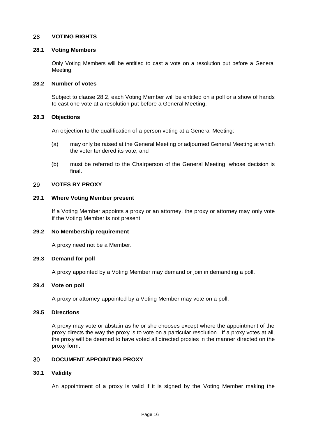#### <span id="page-18-0"></span>28 **VOTING RIGHTS**

#### **28.1 Voting Members**

Only Voting Members will be entitled to cast a vote on a resolution put before a General Meeting.

### **28.2 Number of votes**

Subject to clause 28.2, each Voting Member will be entitled on a poll or a show of hands to cast one vote at a resolution put before a General Meeting.

#### **28.3 Objections**

An objection to the qualification of a person voting at a General Meeting:

- (a) may only be raised at the General Meeting or adjourned General Meeting at which the voter tendered its vote; and
- (b) must be referred to the Chairperson of the General Meeting, whose decision is final.

#### <span id="page-18-1"></span>29 **VOTES BY PROXY**

#### **29.1 Where Voting Member present**

If a Voting Member appoints a proxy or an attorney, the proxy or attorney may only vote if the Voting Member is not present.

#### **29.2 No Membership requirement**

A proxy need not be a Member.

#### **29.3 Demand for poll**

A proxy appointed by a Voting Member may demand or join in demanding a poll.

#### **29.4 Vote on poll**

A proxy or attorney appointed by a Voting Member may vote on a poll.

#### **29.5 Directions**

A proxy may vote or abstain as he or she chooses except where the appointment of the proxy directs the way the proxy is to vote on a particular resolution. If a proxy votes at all, the proxy will be deemed to have voted all directed proxies in the manner directed on the proxy form.

#### <span id="page-18-2"></span>30 **DOCUMENT APPOINTING PROXY**

#### **30.1 Validity**

An appointment of a proxy is valid if it is signed by the Voting Member making the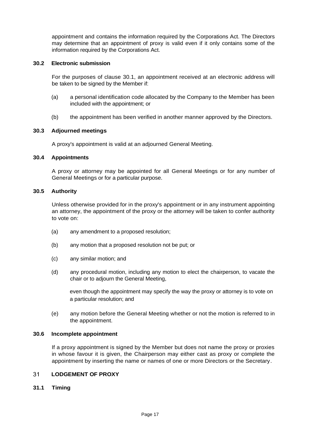appointment and contains the information required by the Corporations Act. The Directors may determine that an appointment of proxy is valid even if it only contains some of the information required by the Corporations Act.

#### **30.2 Electronic submission**

For the purposes of clause 30.1, an appointment received at an electronic address will be taken to be signed by the Member if:

- (a) a personal identification code allocated by the Company to the Member has been included with the appointment; or
- (b) the appointment has been verified in another manner approved by the Directors.

### **30.3 Adjourned meetings**

A proxy's appointment is valid at an adjourned General Meeting.

### **30.4 Appointments**

A proxy or attorney may be appointed for all General Meetings or for any number of General Meetings or for a particular purpose.

#### **30.5 Authority**

Unless otherwise provided for in the proxy's appointment or in any instrument appointing an attorney, the appointment of the proxy or the attorney will be taken to confer authority to vote on:

- (a) any amendment to a proposed resolution;
- (b) any motion that a proposed resolution not be put; or
- (c) any similar motion; and
- (d) any procedural motion, including any motion to elect the chairperson, to vacate the chair or to adjourn the General Meeting,

even though the appointment may specify the way the proxy or attorney is to vote on a particular resolution; and

(e) any motion before the General Meeting whether or not the motion is referred to in the appointment.

#### **30.6 Incomplete appointment**

If a proxy appointment is signed by the Member but does not name the proxy or proxies in whose favour it is given, the Chairperson may either cast as proxy or complete the appointment by inserting the name or names of one or more Directors or the Secretary.

#### <span id="page-19-0"></span> $31$ **LODGEMENT OF PROXY**

#### **31.1 Timing**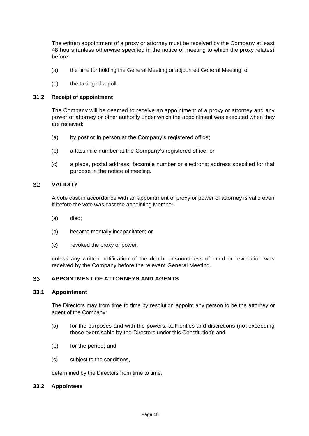The written appointment of a proxy or attorney must be received by the Company at least 48 hours (unless otherwise specified in the notice of meeting to which the proxy relates) before:

- (a) the time for holding the General Meeting or adjourned General Meeting; or
- (b) the taking of a poll.

#### **31.2 Receipt of appointment**

The Company will be deemed to receive an appointment of a proxy or attorney and any power of attorney or other authority under which the appointment was executed when they are received:

- (a) by post or in person at the Company's registered office;
- (b) a facsimile number at the Company's registered office; or
- (c) a place, postal address, facsimile number or electronic address specified for that purpose in the notice of meeting.

#### 32 **VALIDITY**

<span id="page-20-0"></span>A vote cast in accordance with an appointment of proxy or power of attorney is valid even if before the vote was cast the appointing Member:

- (a) died;
- (b) became mentally incapacitated; or
- (c) revoked the proxy or power,

unless any written notification of the death, unsoundness of mind or revocation was received by the Company before the relevant General Meeting.

#### <span id="page-20-1"></span>33 **APPOINTMENT OF ATTORNEYS AND AGENTS**

#### **33.1 Appointment**

The Directors may from time to time by resolution appoint any person to be the attorney or agent of the Company:

- (a) for the purposes and with the powers, authorities and discretions (not exceeding those exercisable by the Directors under this Constitution); and
- (b) for the period; and
- (c) subject to the conditions,

determined by the Directors from time to time.

#### **33.2 Appointees**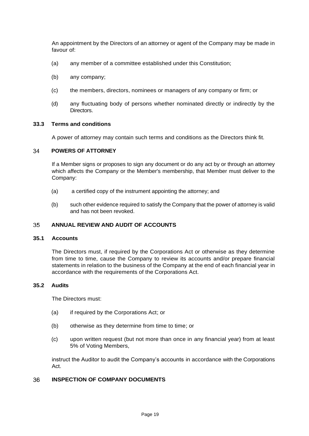An appointment by the Directors of an attorney or agent of the Company may be made in favour of:

- (a) any member of a committee established under this Constitution;
- (b) any company;
- (c) the members, directors, nominees or managers of any company or firm; or
- (d) any fluctuating body of persons whether nominated directly or indirectly by the Directors.

#### **33.3 Terms and conditions**

A power of attorney may contain such terms and conditions as the Directors think fit.

#### <span id="page-21-0"></span>34 **POWERS OF ATTORNEY**

If a Member signs or proposes to sign any document or do any act by or through an attorney which affects the Company or the Member's membership, that Member must deliver to the Company:

- (a) a certified copy of the instrument appointing the attorney; and
- (b) such other evidence required to satisfy the Company that the power of attorney is valid and has not been revoked.

#### <span id="page-21-1"></span> $35<sup>°</sup>$ **ANNUAL REVIEW AND AUDIT OF ACCOUNTS**

### **35.1 Accounts**

The Directors must, if required by the Corporations Act or otherwise as they determine from time to time, cause the Company to review its accounts and/or prepare financial statements in relation to the business of the Company at the end of each financial year in accordance with the requirements of the Corporations Act.

#### **35.2 Audits**

The Directors must:

- (a) if required by the Corporations Act; or
- (b) otherwise as they determine from time to time; or
- (c) upon written request (but not more than once in any financial year) from at least 5% of Voting Members,

instruct the Auditor to audit the Company's accounts in accordance with the Corporations Act.

#### <span id="page-21-2"></span>36 **INSPECTION OF COMPANY DOCUMENTS**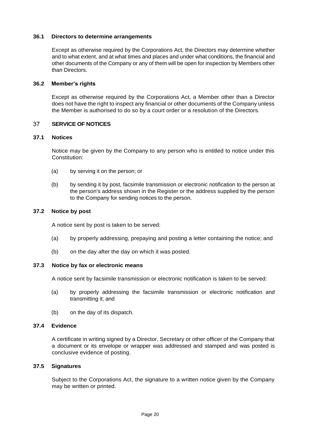#### **36.1 Directors to determine arrangements**

Except as otherwise required by the Corporations Act, the Directors may determine whether and to what extent, and at what times and places and under what conditions, the financial and other documents of the Company or any of them will be open for inspection by Members other than Directors.

#### **36.2 Member's rights**

Except as otherwise required by the Corporations Act, a Member other than a Director does not have the right to inspect any financial or other documents of the Company unless the Member is authorised to do so by a court order or a resolution of the Directors.

#### <span id="page-22-0"></span>37 **SERVICE OF NOTICES**

#### **37.1 Notices**

Notice may be given by the Company to any person who is entitled to notice under this Constitution:

- (a) by serving it on the person; or
- (b) by sending it by post, facsimile transmission or electronic notification to the person at the person's address shown in the Register or the address supplied by the person to the Company for sending notices to the person.

### **37.2 Notice by post**

A notice sent by post is taken to be served:

- (a) by properly addressing, prepaying and posting a letter containing the notice; and
- (b) on the day after the day on which it was posted.

#### **37.3 Notice by fax or electronic means**

A notice sent by facsimile transmission or electronic notification is taken to be served:

- (a) by properly addressing the facsimile transmission or electronic notification and transmitting it; and
- (b) on the day of its dispatch.

#### **37.4 Evidence**

A certificate in writing signed by a Director, Secretary or other officer of the Company that a document or its envelope or wrapper was addressed and stamped and was posted is conclusive evidence of posting.

#### **37.5 Signatures**

Subject to the Corporations Act, the signature to a written notice given by the Company may be written or printed.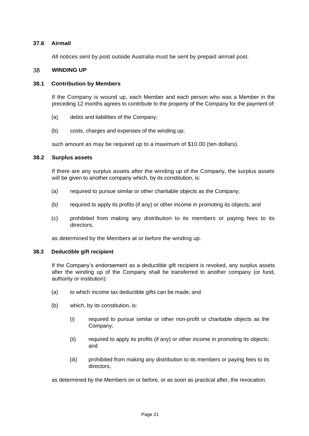### **37.6 Airmail**

<span id="page-23-0"></span>All notices sent by post outside Australia must be sent by prepaid airmail post.

#### 38 **WINDING UP**

#### **38.1 Contribution by Members**

If the Company is wound up, each Member and each person who was a Member in the preceding 12 months agrees to contribute to the property of the Company for the payment of:

- (a) debts and liabilities of the Company;
- (b) costs, charges and expenses of the winding up;

such amount as may be required up to a maximum of \$10.00 (ten dollars).

### **38.2 Surplus assets**

If there are any surplus assets after the winding up of the Company, the surplus assets will be given to another company which, by its constitution, is:

- (a) required to pursue similar or other charitable objects as the Company;
- (b) required to apply its profits (if any) or other income in promoting its objects; and
- (c) prohibited from making any distribution to its members or paying fees to its directors,

as determined by the Members at or before the winding up.

#### **38.3 Deductible gift recipient**

If the Company's endorsement as a deductible gift recipient is revoked, any surplus assets after the winding up of the Company shall be transferred to another company (or fund, authority or institution):

- (a) to which income tax deductible gifts can be made; and
- (b) which, by its constitution, is:
	- (i) required to pursue similar or other non-profit or charitable objects as the Company;
	- (ii) required to apply its profits (if any) or other income in promoting its objects; and
	- (iii) prohibited from making any distribution to its members or paying fees to its directors,

as determined by the Members on or before, or as soon as practical after, the revocation.